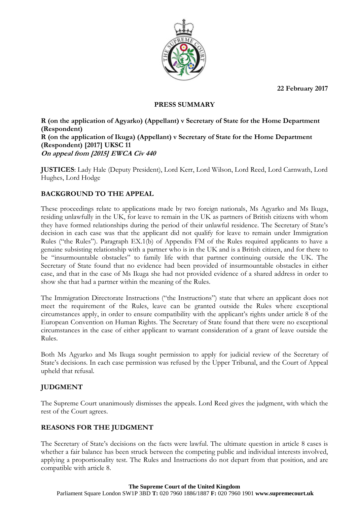**22 February 2017**



### **PRESS SUMMARY**

**R (on the application of Agyarko) (Appellant) v Secretary of State for the Home Department (Respondent) R (on the application of Ikuga) (Appellant) v Secretary of State for the Home Department (Respondent) [2017] UKSC 11 On appeal from [2015] EWCA Civ 440**

**JUSTICES**: Lady Hale (Deputy President), Lord Kerr, Lord Wilson, Lord Reed, Lord Carnwath, Lord Hughes, Lord Hodge

## **BACKGROUND TO THE APPEAL**

These proceedings relate to applications made by two foreign nationals, Ms Agyarko and Ms Ikuga, residing unlawfully in the UK, for leave to remain in the UK as partners of British citizens with whom they have formed relationships during the period of their unlawful residence. The Secretary of State's decision in each case was that the applicant did not qualify for leave to remain under Immigration Rules ("the Rules"). Paragraph EX.1(b) of Appendix FM of the Rules required applicants to have a genuine subsisting relationship with a partner who is in the UK and is a British citizen, and for there to be "insurmountable obstacles" to family life with that partner continuing outside the UK. The Secretary of State found that no evidence had been provided of insurmountable obstacles in either case, and that in the case of Ms Ikuga she had not provided evidence of a shared address in order to show she that had a partner within the meaning of the Rules.

The Immigration Directorate Instructions ("the Instructions") state that where an applicant does not meet the requirement of the Rules, leave can be granted outside the Rules where exceptional circumstances apply, in order to ensure compatibility with the applicant's rights under article 8 of the European Convention on Human Rights. The Secretary of State found that there were no exceptional circumstances in the case of either applicant to warrant consideration of a grant of leave outside the Rules.

Both Ms Agyarko and Ms Ikuga sought permission to apply for judicial review of the Secretary of State's decisions. In each case permission was refused by the Upper Tribunal, and the Court of Appeal upheld that refusal.

## **JUDGMENT**

The Supreme Court unanimously dismisses the appeals. Lord Reed gives the judgment, with which the rest of the Court agrees.

# **REASONS FOR THE JUDGMENT**

The Secretary of State's decisions on the facts were lawful. The ultimate question in article 8 cases is whether a fair balance has been struck between the competing public and individual interests involved, applying a proportionality test. The Rules and Instructions do not depart from that position, and are compatible with article 8.

### **The Supreme Court of the United Kingdom**

Parliament Square London SW1P 3BD **T:** 020 7960 1886/1887 **F:** 020 7960 1901 **www.supremecourt.uk**